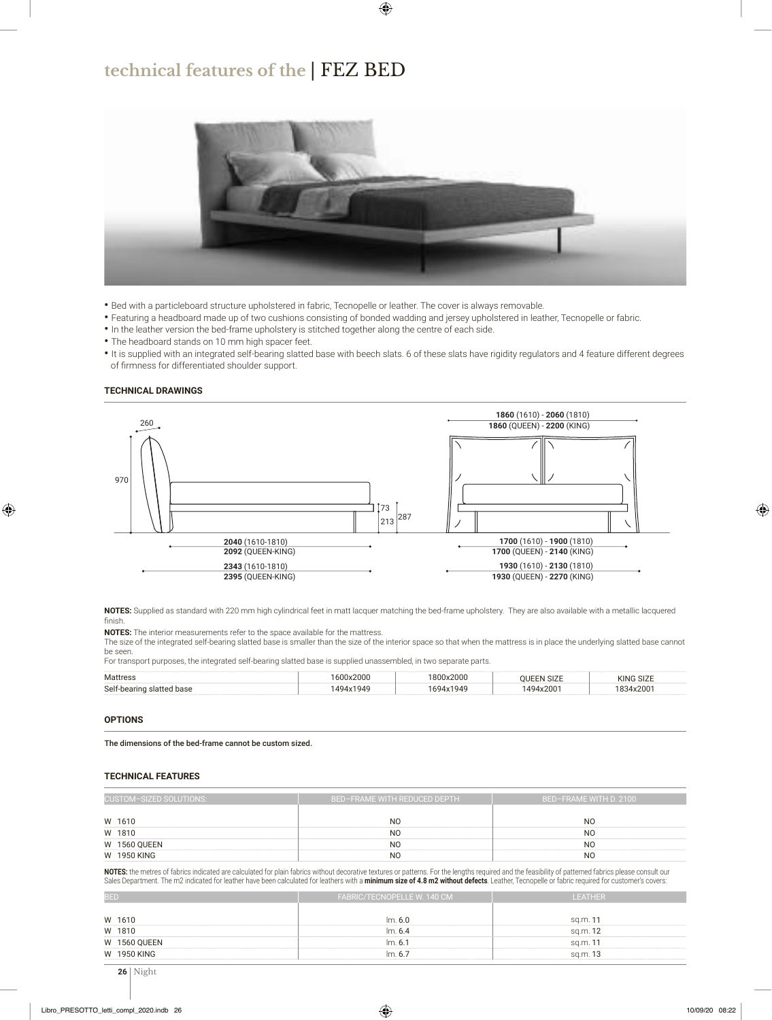## **technical features of the** | FEZ BED



- Bed with a particleboard structure upholstered in fabric, Tecnopelle or leather. The cover is always removable.
- Featuring a headboard made up of two cushions consisting of bonded wadding and jersey upholstered in leather, Tecnopelle or fabric.
- In the leather version the bed-frame upholstery is stitched together along the centre of each side.
- The headboard stands on 10 mm high spacer feet.
- It is supplied with an integrated self-bearing slatted base with beech slats. 6 of these slats have rigidity regulators and 4 feature different degrees of firmness for differentiated shoulder support.

## **TECHNICAL DRAWINGS**



**NOTES:** Supplied as standard with 220 mm high cylindrical feet in matt lacquer matching the bed-frame upholstery. They are also available with a metallic lacquered finish.

**NOTES:** The interior measurements refer to the space available for the mattress.

The size of the integrated self-bearing slatted base is smaller than the size of the interior space so that when the mattress is in place the underlying slatted base cannot be seen.

For transport purposes, the integrated self-bearing slatted base is supplied unassembled, in two separate parts.

| Mattress                  | 1600x2000 | 1800x2000 | <b>OUEEN SIZE</b> | <b>KING SIZE</b> |  |
|---------------------------|-----------|-----------|-------------------|------------------|--|
| Self-bearing slatted base | 1494x1949 | 1694x1949 | 1494x2001         | 1834x2001        |  |

## **OPTIONS**

The dimensions of the bed-frame cannot be custom sized.

## **TECHNICAL FEATURES**

| CUSTOM-SIZED SOLUTIONS: | <b>BED-FRAME WITH REDUCED DEPTH</b> | BED-FRAME WITH D. 2100 |  |  |  |
|-------------------------|-------------------------------------|------------------------|--|--|--|
|                         |                                     |                        |  |  |  |
| W 1610                  | N <sub>O</sub>                      | N0                     |  |  |  |
| W 1810                  | N <sub>O</sub>                      | N <sub>O</sub>         |  |  |  |
| <b>W 1560 QUEEN</b>     | N <sub>O</sub>                      | N <sub>O</sub>         |  |  |  |
| W 1950 KING             | <sub>NO</sub>                       | N <sub>0</sub>         |  |  |  |

**NOTES:** the metres of fabrics indicated are calculated for plain fabrics without decorative textures or patterns. For the lengths required and the feasibility of patterned fabrics please consult our Sales Department. The m2 indicated for leather have been calculated for leathers with a minimum size of 4.8 m2 without defects. Leather, Tecnopelle or fabric required for customer's covers:

| <b>BED</b>          | FABRIC/TECNOPELLE W. 140 CM | <b>LEATHER</b> |  |  |  |  |
|---------------------|-----------------------------|----------------|--|--|--|--|
|                     |                             |                |  |  |  |  |
| W 1610              | Im. 6.0                     | sq.m. 11       |  |  |  |  |
| W 1810              | Im. 6.4                     | sq.m. 12       |  |  |  |  |
| <b>W 1560 QUEEN</b> | Im. 6.1                     | sq.m. 11       |  |  |  |  |
| W 1950 KING         | Im. 6.7                     | sq.m. 13       |  |  |  |  |